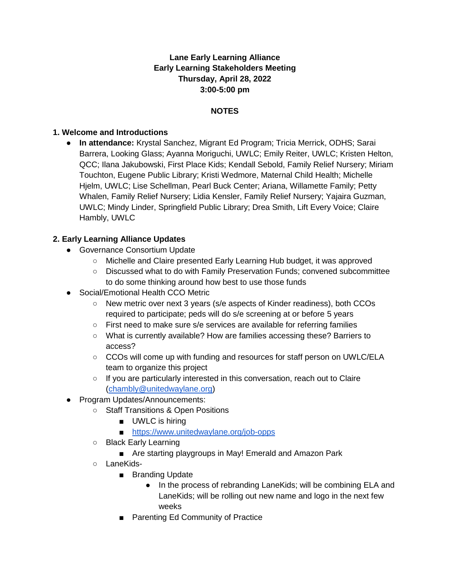## **Lane Early Learning Alliance Early Learning Stakeholders Meeting Thursday, April 28, 2022 3:00-5:00 pm**

### **NOTES**

### **1. Welcome and Introductions**

● **In attendance:** Krystal Sanchez, Migrant Ed Program; Tricia Merrick, ODHS; Sarai Barrera, Looking Glass; Ayanna Moriguchi, UWLC; Emily Reiter, UWLC; Kristen Helton, QCC; Ilana Jakubowski, First Place Kids; Kendall Sebold, Family Relief Nursery; Miriam Touchton, Eugene Public Library; Kristi Wedmore, Maternal Child Health; Michelle Hjelm, UWLC; Lise Schellman, Pearl Buck Center; Ariana, Willamette Family; Petty Whalen, Family Relief Nursery; Lidia Kensler, Family Relief Nursery; Yajaira Guzman, UWLC; Mindy Linder, Springfield Public Library; Drea Smith, Lift Every Voice; Claire Hambly, UWLC

### **2. Early Learning Alliance Updates**

- Governance Consortium Update
	- Michelle and Claire presented Early Learning Hub budget, it was approved
	- Discussed what to do with Family Preservation Funds; convened subcommittee to do some thinking around how best to use those funds
- Social/Emotional Health CCO Metric
	- New metric over next 3 years (s/e aspects of Kinder readiness), both CCOs required to participate; peds will do s/e screening at or before 5 years
	- First need to make sure s/e services are available for referring families
	- What is currently available? How are families accessing these? Barriers to access?
	- CCOs will come up with funding and resources for staff person on UWLC/ELA team to organize this project
	- If you are particularly interested in this conversation, reach out to Claire [\(chambly@unitedwaylane.org\)](mailto:chambly@unitedwaylane.org)
- Program Updates/Announcements:
	- Staff Transitions & Open Positions
		- UWLC is hiring
		- <https://www.unitedwaylane.org/job-opps>
	- Black Early Learning
		- Are starting playgroups in May! Emerald and Amazon Park
	- LaneKids-
		- Branding Update
			- In the process of rebranding LaneKids; will be combining ELA and LaneKids; will be rolling out new name and logo in the next few weeks
		- Parenting Ed Community of Practice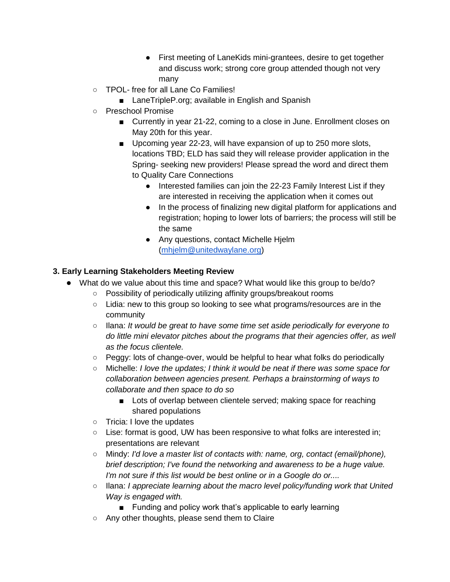- First meeting of LaneKids mini-grantees, desire to get together and discuss work; strong core group attended though not very many
- TPOL- free for all Lane Co Families!
	- LaneTripleP.org; available in English and Spanish
- Preschool Promise
	- Currently in year 21-22, coming to a close in June. Enrollment closes on May 20th for this year.
	- Upcoming year 22-23, will have expansion of up to 250 more slots, locations TBD; ELD has said they will release provider application in the Spring- seeking new providers! Please spread the word and direct them to Quality Care Connections
		- Interested families can join the 22-23 Family Interest List if they are interested in receiving the application when it comes out
		- In the process of finalizing new digital platform for applications and registration; hoping to lower lots of barriers; the process will still be the same
		- Any questions, contact Michelle Hjelm [\(mhjelm@unitedwaylane.org\)](mailto:mhjelm@unitedwaylane.org)

## **3. Early Learning Stakeholders Meeting Review**

- What do we value about this time and space? What would like this group to be/do?
	- Possibility of periodically utilizing affinity groups/breakout rooms
	- Lidia: new to this group so looking to see what programs/resources are in the community
	- Ilana: *It would be great to have some time set aside periodically for everyone to do little mini elevator pitches about the programs that their agencies offer, as well as the focus clientele.*
	- Peggy: lots of change-over, would be helpful to hear what folks do periodically
	- Michelle: *I love the updates; I think it would be neat if there was some space for collaboration between agencies present. Perhaps a brainstorming of ways to collaborate and then space to do so*
		- Lots of overlap between clientele served; making space for reaching shared populations
	- Tricia: I love the updates
	- Lise: format is good, UW has been responsive to what folks are interested in; presentations are relevant
	- Mindy: *I'd love a master list of contacts with: name, org, contact (email/phone), brief description; I've found the networking and awareness to be a huge value. I'm not sure if this list would be best online or in a Google do or....*
	- Ilana: *I appreciate learning about the macro level policy/funding work that United Way is engaged with.*
		- Funding and policy work that's applicable to early learning
	- Any other thoughts, please send them to Claire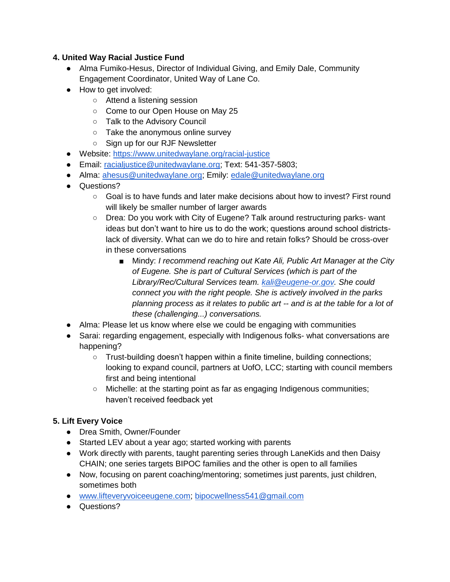### **4. United Way Racial Justice Fund**

- Alma Fumiko-Hesus, Director of Individual Giving, and Emily Dale, Community Engagement Coordinator, United Way of Lane Co.
- How to get involved:
	- Attend a listening session
	- Come to our Open House on May 25
	- Talk to the Advisory Council
	- Take the anonymous online survey
	- Sign up for our RJF Newsletter
- Website:<https://www.unitedwaylane.org/racial-justice>
- Email: [racialjustice@unitedwaylane.org;](mailto:racialjustice@unitedwaylane.org) Text: 541-357-5803;
- Alma: [ahesus@unitedwaylane.org;](mailto:ahesus@unitedwaylane.org) Emily: [edale@unitedwaylane.org](mailto:edale@unitedwaylane.org)
- Questions?
	- Goal is to have funds and later make decisions about how to invest? First round will likely be smaller number of larger awards
	- Drea: Do you work with City of Eugene? Talk around restructuring parks- want ideas but don't want to hire us to do the work; questions around school districtslack of diversity. What can we do to hire and retain folks? Should be cross-over in these conversations
		- Mindy: *I recommend reaching out Kate Ali, Public Art Manager at the City of Eugene. She is part of Cultural Services (which is part of the Library/Rec/Cultural Services team. [kali@eugene-or.gov.](mailto:kali@eugene-or.gov) She could connect you with the right people. She is actively involved in the parks planning process as it relates to public art -- and is at the table for a lot of these (challenging...) conversations.*
- Alma: Please let us know where else we could be engaging with communities
- Sarai: regarding engagement, especially with Indigenous folks- what conversations are happening?
	- Trust-building doesn't happen within a finite timeline, building connections; looking to expand council, partners at UofO, LCC; starting with council members first and being intentional
	- Michelle: at the starting point as far as engaging Indigenous communities; haven't received feedback yet

# **5. Lift Every Voice**

- Drea Smith, Owner/Founder
- Started LEV about a year ago; started working with parents
- Work directly with parents, taught parenting series through LaneKids and then Daisy CHAIN; one series targets BIPOC families and the other is open to all families
- Now, focusing on parent coaching/mentoring; sometimes just parents, just children, sometimes both
- [www.lifteveryvoiceeugene.com;](http://www.lifteveryvoiceeugene.com/) [bipocwellness541@gmail.com](mailto:bipocwellness541@gmail.com)
- Questions?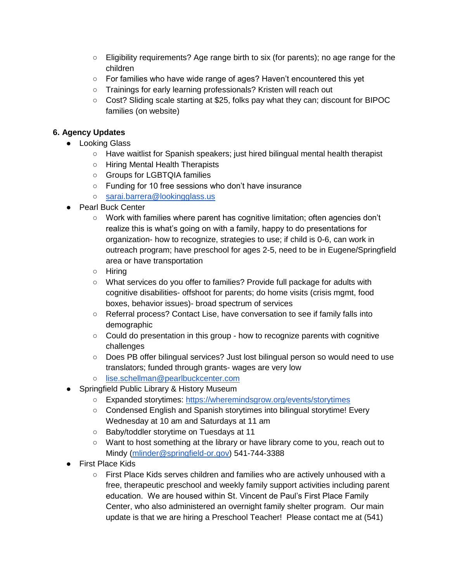- Eligibility requirements? Age range birth to six (for parents); no age range for the children
- For families who have wide range of ages? Haven't encountered this yet
- Trainings for early learning professionals? Kristen will reach out
- Cost? Sliding scale starting at \$25, folks pay what they can; discount for BIPOC families (on website)

### **6. Agency Updates**

- Looking Glass
	- Have waitlist for Spanish speakers; just hired bilingual mental health therapist
	- Hiring Mental Health Therapists
	- Groups for LGBTQIA families
	- Funding for 10 free sessions who don't have insurance
	- [sarai.barrera@lookingglass.us](mailto:sarai.barrera@lookingglass.us)
- Pearl Buck Center
	- Work with families where parent has cognitive limitation; often agencies don't realize this is what's going on with a family, happy to do presentations for organization- how to recognize, strategies to use; if child is 0-6, can work in outreach program; have preschool for ages 2-5, need to be in Eugene/Springfield area or have transportation
	- Hiring
	- What services do you offer to families? Provide full package for adults with cognitive disabilities- offshoot for parents; do home visits (crisis mgmt, food boxes, behavior issues)- broad spectrum of services
	- Referral process? Contact Lise, have conversation to see if family falls into demographic
	- Could do presentation in this group how to recognize parents with cognitive challenges
	- Does PB offer bilingual services? Just lost bilingual person so would need to use translators; funded through grants- wages are very low
	- [lise.schellman@pearlbuckcenter.com](mailto:lise.schellman@pearlbuckcenter.com)
- Springfield Public Library & History Museum
	- Expanded storytimes:<https://wheremindsgrow.org/events/storytimes>
	- Condensed English and Spanish storytimes into bilingual storytime! Every Wednesday at 10 am and Saturdays at 11 am
	- Baby/toddler storytime on Tuesdays at 11
	- Want to host something at the library or have library come to you, reach out to Mindy [\(mlinder@springfield-or.gov\)](mailto:mlinder@springfield-or.gov) 541-744-3388
- First Place Kids
	- First Place Kids serves children and families who are actively unhoused with a free, therapeutic preschool and weekly family support activities including parent education. We are housed within St. Vincent de Paul's First Place Family Center, who also administered an overnight family shelter program. Our main update is that we are hiring a Preschool Teacher! Please contact me at (541)